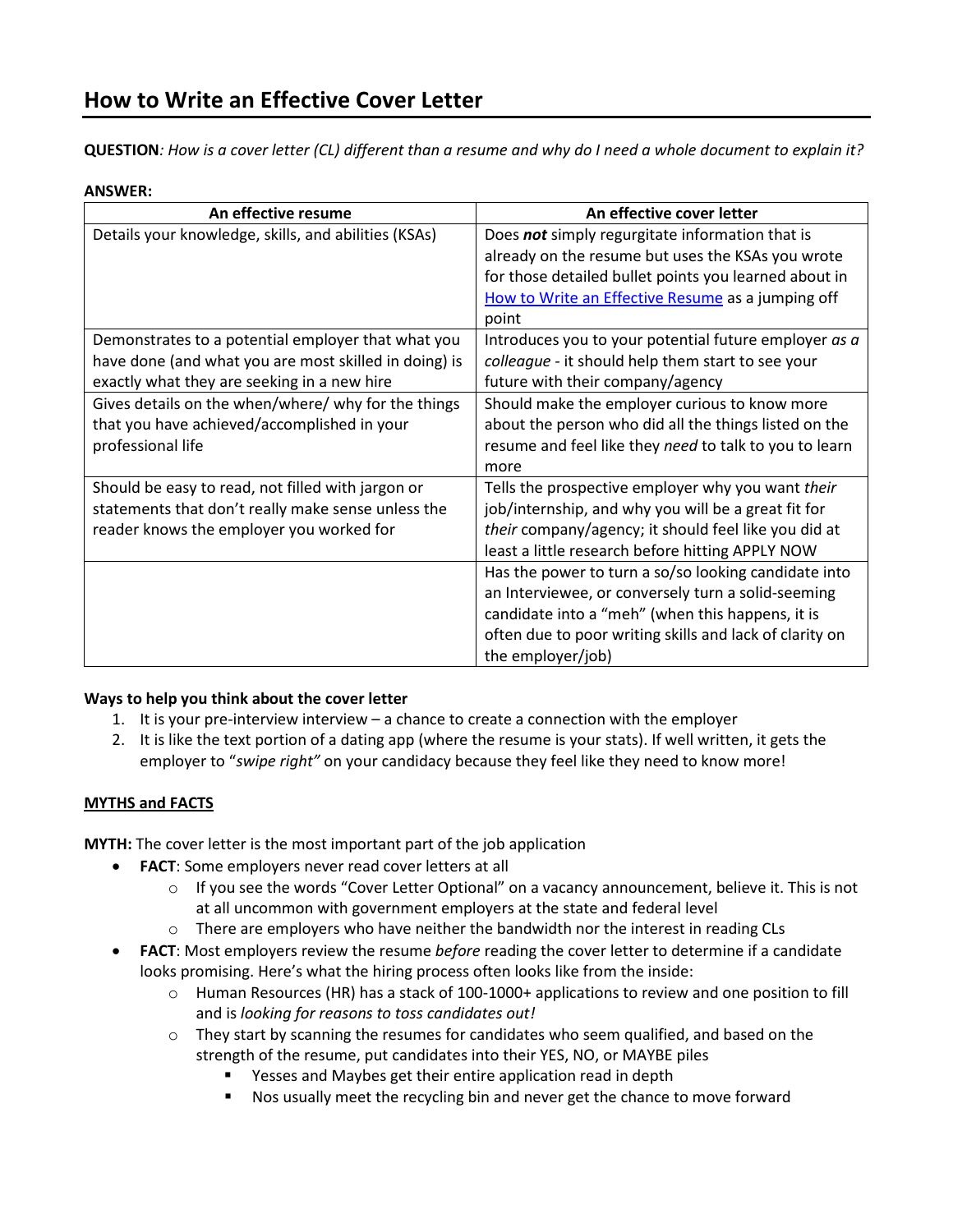# **How to Write an Effective Cover Letter**

**QUESTION***: How is a cover letter (CL) different than a resume and why do I need a whole document to explain it?*

# **ANSWER:**

| An effective resume                                   | An effective cover letter                               |
|-------------------------------------------------------|---------------------------------------------------------|
| Details your knowledge, skills, and abilities (KSAs)  | Does not simply regurgitate information that is         |
|                                                       | already on the resume but uses the KSAs you wrote       |
|                                                       | for those detailed bullet points you learned about in   |
|                                                       | How to Write an Effective Resume as a jumping off       |
|                                                       | point                                                   |
| Demonstrates to a potential employer that what you    | Introduces you to your potential future employer as a   |
| have done (and what you are most skilled in doing) is | colleague - it should help them start to see your       |
| exactly what they are seeking in a new hire           | future with their company/agency                        |
| Gives details on the when/where/ why for the things   | Should make the employer curious to know more           |
| that you have achieved/accomplished in your           | about the person who did all the things listed on the   |
| professional life                                     | resume and feel like they need to talk to you to learn  |
|                                                       | more                                                    |
| Should be easy to read, not filled with jargon or     | Tells the prospective employer why you want their       |
| statements that don't really make sense unless the    | job/internship, and why you will be a great fit for     |
| reader knows the employer you worked for              | their company/agency; it should feel like you did at    |
|                                                       | least a little research before hitting APPLY NOW        |
|                                                       | Has the power to turn a so/so looking candidate into    |
|                                                       | an Interviewee, or conversely turn a solid-seeming      |
|                                                       | candidate into a "meh" (when this happens, it is        |
|                                                       | often due to poor writing skills and lack of clarity on |
|                                                       | the employer/job)                                       |

# **Ways to help you think about the cover letter**

- 1. It is your pre-interview interview a chance to create a connection with the employer
- 2. It is like the text portion of a dating app (where the resume is your stats). If well written, it gets the employer to "*swipe right"* on your candidacy because they feel like they need to know more!

# **MYTHS and FACTS**

**MYTH:** The cover letter is the most important part of the job application

- **FACT**: Some employers never read cover letters at all
	- $\circ$  If you see the words "Cover Letter Optional" on a vacancy announcement, believe it. This is not at all uncommon with government employers at the state and federal level
	- $\circ$  There are employers who have neither the bandwidth nor the interest in reading CLs
- **FACT**: Most employers review the resume *before* reading the cover letter to determine if a candidate looks promising. Here's what the hiring process often looks like from the inside:
	- o Human Resources (HR) has a stack of 100-1000+ applications to review and one position to fill and is *looking for reasons to toss candidates out!*
	- $\circ$  They start by scanning the resumes for candidates who seem qualified, and based on the strength of the resume, put candidates into their YES, NO, or MAYBE piles
		- Yesses and Maybes get their entire application read in depth
		- Nos usually meet the recycling bin and never get the chance to move forward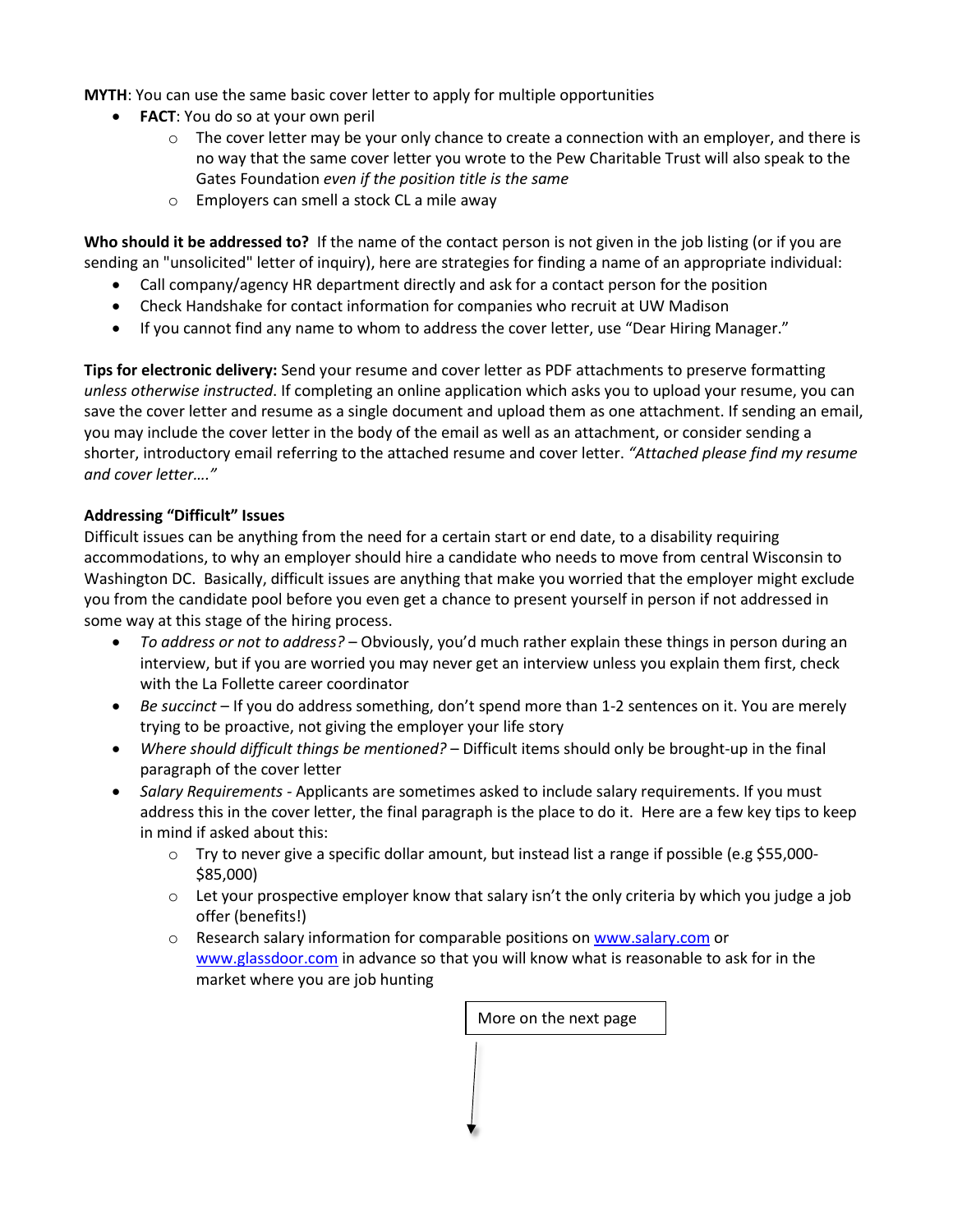**MYTH**: You can use the same basic cover letter to apply for multiple opportunities

- **FACT**: You do so at your own peril
	- $\circ$  The cover letter may be your only chance to create a connection with an employer, and there is no way that the same cover letter you wrote to the Pew Charitable Trust will also speak to the Gates Foundation *even if the position title is the same*
	- o Employers can smell a stock CL a mile away

**Who should it be addressed to?** If the name of the contact person is not given in the job listing (or if you are sending an "unsolicited" letter of inquiry), here are strategies for finding a name of an appropriate individual:

- Call company/agency HR department directly and ask for a contact person for the position
- Check Handshake for contact information for companies who recruit at UW Madison
- If you cannot find any name to whom to address the cover letter, use "Dear Hiring Manager."

**Tips for electronic delivery:** Send your resume and cover letter as PDF attachments to preserve formatting *unless otherwise instructed*. If completing an online application which asks you to upload your resume, you can save the cover letter and resume as a single document and upload them as one attachment. If sending an email, you may include the cover letter in the body of the email as well as an attachment, or consider sending a shorter, introductory email referring to the attached resume and cover letter. *"Attached please find my resume and cover letter…."*

# **Addressing "Difficult" Issues**

Difficult issues can be anything from the need for a certain start or end date, to a disability requiring accommodations, to why an employer should hire a candidate who needs to move from central Wisconsin to Washington DC. Basically, difficult issues are anything that make you worried that the employer might exclude you from the candidate pool before you even get a chance to present yourself in person if not addressed in some way at this stage of the hiring process.

- *To address or not to address?* Obviously, you'd much rather explain these things in person during an interview, but if you are worried you may never get an interview unless you explain them first, check with the La Follette career coordinator
- *Be succinct* If you do address something, don't spend more than 1-2 sentences on it. You are merely trying to be proactive, not giving the employer your life story
- *Where should difficult things be mentioned?* Difficult items should only be brought-up in the final paragraph of the cover letter
- *Salary Requirements -* Applicants are sometimes asked to include salary requirements. If you must address this in the cover letter, the final paragraph is the place to do it. Here are a few key tips to keep in mind if asked about this:
	- o Try to never give a specific dollar amount, but instead list a range if possible (e.g \$55,000- \$85,000)
	- $\circ$  Let your prospective employer know that salary isn't the only criteria by which you judge a job offer (benefits!)
	- o Research salary information for comparable positions o[n www.salary.com](http://www.salary.com/) or [www.glassdoor.com](http://www.glassdoor.com/) in advance so that you will know what is reasonable to ask for in the market where you are job hunting

More on the next page